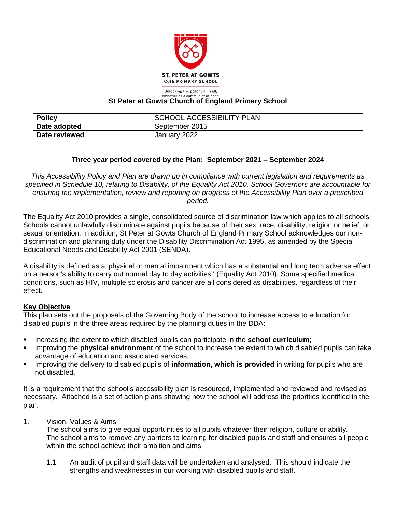

Unlocking the potential in all, wering a community of hope

### **St Peter at Gowts Church of England Primary School**

| <b>Policy</b> | <b>SCHOOL ACCESSIBILITY PLAN</b> |
|---------------|----------------------------------|
| Date adopted  | September 2015                   |
| Date reviewed | January 2022                     |

## **Three year period covered by the Plan: September 2021 – September 2024**

*This Accessibility Policy and Plan are drawn up in compliance with current legislation and requirements as specified in Schedule 10, relating to Disability, of the Equality Act 2010. School Governors are accountable for ensuring the implementation, review and reporting on progress of the Accessibility Plan over a prescribed period.*

The Equality Act 2010 provides a single, consolidated source of discrimination law which applies to all schools. Schools cannot unlawfully discriminate against pupils because of their sex, race, disability, religion or belief, or sexual orientation. In addition, St Peter at Gowts Church of England Primary School acknowledges our nondiscrimination and planning duty under the Disability Discrimination Act 1995, as amended by the Special Educational Needs and Disability Act 2001 (SENDA).

A disability is defined as a 'physical or mental impairment which has a substantial and long term adverse effect on a person's ability to carry out normal day to day activities.' (Equality Act 2010). Some specified medical conditions, such as HIV, multiple sclerosis and cancer are all considered as disabilities, regardless of their effect.

## **Key Objective**

This plan sets out the proposals of the Governing Body of the school to increase access to education for disabled pupils in the three areas required by the planning duties in the DDA:

- Increasing the extent to which disabled pupils can participate in the **school curriculum**;
- Improving the **physical environment** of the school to increase the extent to which disabled pupils can take advantage of education and associated services;
- Improving the delivery to disabled pupils of **information, which is provided** in writing for pupils who are not disabled.

It is a requirement that the school's accessibility plan is resourced, implemented and reviewed and revised as necessary. Attached is a set of action plans showing how the school will address the priorities identified in the plan.

1. Vision, Values & Aims

The school aims to give equal opportunities to all pupils whatever their religion, culture or ability. The school aims to remove any barriers to learning for disabled pupils and staff and ensures all people within the school achieve their ambition and aims.

1.1 An audit of pupil and staff data will be undertaken and analysed. This should indicate the strengths and weaknesses in our working with disabled pupils and staff.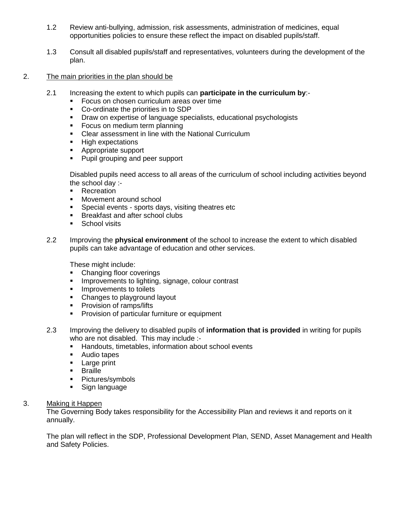- 1.2 Review anti-bullying, admission, risk assessments, administration of medicines, equal opportunities policies to ensure these reflect the impact on disabled pupils/staff.
- 1.3 Consult all disabled pupils/staff and representatives, volunteers during the development of the plan.
- 2. The main priorities in the plan should be
	- 2.1 Increasing the extent to which pupils can **participate in the curriculum by**:-
		- Focus on chosen curriculum areas over time
		- Co-ordinate the priorities in to SDP
		- Draw on expertise of language specialists, educational psychologists
		- Focus on medium term planning
		- Clear assessment in line with the National Curriculum
		- High expectations
		- Appropriate support
		- Pupil grouping and peer support

Disabled pupils need access to all areas of the curriculum of school including activities beyond the school day :-

- Recreation
- Movement around school
- **EXECT:** Special events sports days, visiting theatres etc
- **EXECUTE:** Breakfast and after school clubs
- School visits
- 2.2 Improving the **physical environment** of the school to increase the extent to which disabled pupils can take advantage of education and other services.

These might include:

- Changing floor coverings
- **·** Improvements to lighting, signage, colour contrast
- **·** Improvements to toilets
- Changes to playground layout
- **•** Provision of ramps/lifts
- Provision of particular furniture or equipment
- 2.3 Improving the delivery to disabled pupils of **information that is provided** in writing for pupils who are not disabled. This may include :-
	- Handouts, timetables, information about school events
	- Audio tapes
	- **Example 2** Large print
	- Braille
	- Pictures/symbols
	- **•** Sign language

## 3. Making it Happen

The Governing Body takes responsibility for the Accessibility Plan and reviews it and reports on it annually.

The plan will reflect in the SDP, Professional Development Plan, SEND, Asset Management and Health and Safety Policies.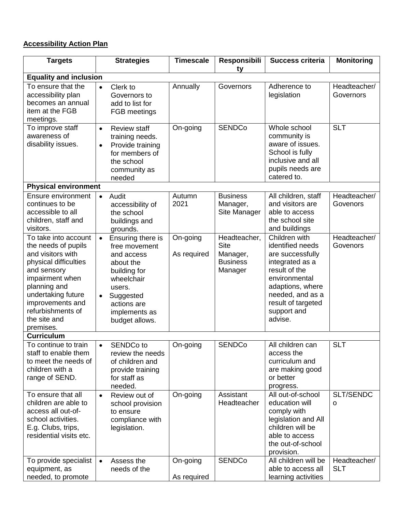# **Accessibility Action Plan**

| <b>Targets</b>                                                                                                                                                                                                                          | <b>Strategies</b>                                                                                                                                                                 | <b>Timescale</b>        | Responsibili<br>ty                                                    | <b>Success criteria</b>                                                                                                                                                                            | <b>Monitoring</b>          |  |  |  |  |
|-----------------------------------------------------------------------------------------------------------------------------------------------------------------------------------------------------------------------------------------|-----------------------------------------------------------------------------------------------------------------------------------------------------------------------------------|-------------------------|-----------------------------------------------------------------------|----------------------------------------------------------------------------------------------------------------------------------------------------------------------------------------------------|----------------------------|--|--|--|--|
| <b>Equality and inclusion</b>                                                                                                                                                                                                           |                                                                                                                                                                                   |                         |                                                                       |                                                                                                                                                                                                    |                            |  |  |  |  |
| To ensure that the<br>accessibility plan<br>becomes an annual<br>item at the FGB<br>meetings.                                                                                                                                           | Clerk to<br>$\bullet$<br>Governors to<br>add to list for<br>FGB meetings                                                                                                          | Annually                | Governors                                                             | Adherence to<br>legislation                                                                                                                                                                        | Headteacher/<br>Governors  |  |  |  |  |
| To improve staff<br>awareness of<br>disability issues.                                                                                                                                                                                  | <b>Review staff</b><br>$\bullet$<br>training needs.<br>Provide training<br>$\bullet$<br>for members of<br>the school<br>community as<br>needed                                    | On-going                | <b>SENDCo</b>                                                         | Whole school<br>community is<br>aware of issues.<br>School is fully<br>inclusive and all<br>pupils needs are<br>catered to.                                                                        | <b>SLT</b>                 |  |  |  |  |
| <b>Physical environment</b>                                                                                                                                                                                                             |                                                                                                                                                                                   |                         |                                                                       |                                                                                                                                                                                                    |                            |  |  |  |  |
| <b>Ensure environment</b><br>continues to be<br>accessible to all<br>children, staff and<br>visitors.                                                                                                                                   | Audit<br>$\bullet$<br>accessibility of<br>the school<br>buildings and<br>grounds.                                                                                                 | Autumn<br>2021          | <b>Business</b><br>Manager,<br>Site Manager                           | All children, staff<br>and visitors are<br>able to access<br>the school site<br>and buildings                                                                                                      | Headteacher/<br>Govenors   |  |  |  |  |
| To take into account<br>the needs of pupils<br>and visitors with<br>physical difficulties<br>and sensory<br>impairment when<br>planning and<br>undertaking future<br>improvements and<br>refurbishments of<br>the site and<br>premises. | Ensuring there is<br>$\bullet$<br>free movement<br>and access<br>about the<br>building for<br>wheelchair<br>users.<br>Suggested<br>actions are<br>implements as<br>budget allows. | On-going<br>As required | Headteacher,<br><b>Site</b><br>Manager,<br><b>Business</b><br>Manager | Children with<br>identified needs<br>are successfully<br>integrated as a<br>result of the<br>environmental<br>adaptions, where<br>needed, and as a<br>result of targeted<br>support and<br>advise. | Headteacher/<br>Govenors   |  |  |  |  |
| <b>Curriculum</b>                                                                                                                                                                                                                       |                                                                                                                                                                                   |                         |                                                                       |                                                                                                                                                                                                    |                            |  |  |  |  |
| To continue to train<br>staff to enable them<br>to meet the needs of<br>children with a<br>range of SEND.                                                                                                                               | SENDCo to<br>review the needs<br>of children and<br>provide training<br>for staff as<br>needed.                                                                                   | On-going                | <b>SENDCo</b>                                                         | All children can<br>access the<br>curriculum and<br>are making good<br>or better<br>progress.                                                                                                      | <b>SLT</b>                 |  |  |  |  |
| To ensure that all<br>children are able to<br>access all out-of-<br>school activities.<br>E.g. Clubs, trips,<br>residential visits etc.                                                                                                 | Review out of<br>$\bullet$<br>school provision<br>to ensure<br>compliance with<br>legislation.                                                                                    | On-going                | Assistant<br>Headteacher                                              | All out-of-school<br>education will<br>comply with<br>legislation and All<br>children will be<br>able to access<br>the out-of-school<br>provision.                                                 | SLT/SENDC<br>o             |  |  |  |  |
| To provide specialist<br>equipment, as<br>needed, to promote                                                                                                                                                                            | Assess the<br>$\bullet$<br>needs of the                                                                                                                                           | On-going<br>As required | <b>SENDCo</b>                                                         | All children will be<br>able to access all<br>learning activities                                                                                                                                  | Headteacher/<br><b>SLT</b> |  |  |  |  |